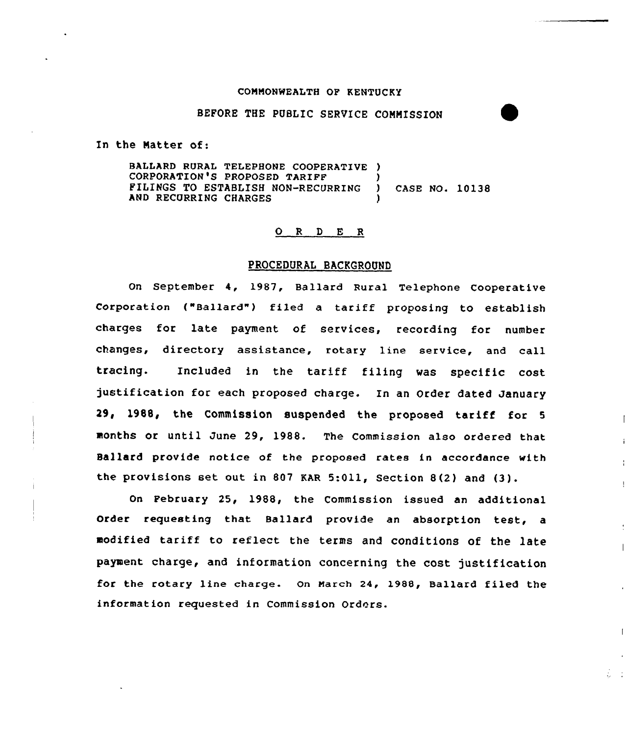#### COMMONWEALTH OF KENTUCKY

#### BEFORE THE PUBLIC SERVICE COMNISSION

In the Natter of:

BALLARD RURAL TELEPHONE COOPERATIVE ) CORPORATION'S PROPOSED TARIFF<br>FILINGS TO ESTABLISH NON-RECURRING FILINGS TO ESTABLISH NON-RECURRING ) CASE NO. 10138 AND RECURRING CHARGES

## 0 <sup>R</sup> <sup>D</sup> <sup>E</sup> <sup>R</sup>

## PROCEDURAL BACKGROUND

On September 4, 1987, Ballard Rural Telephone Cooperative Corporation ("Ballard") filed <sup>a</sup> tariff proposing to establish charges for late payment of services, recording for number changes, directory assistance, rotary line service, and call tracing. Included in the tariff filing was specific cost justification for each proposed charge. In an Order dated January 29, l988, the Commission suspended the proposed tariff for <sup>5</sup> months or until June 29, 1988. The Commission also ordered that Ballard provide notice of the proposed rates in accordance with the provisions set out in <sup>807</sup> KAR 5:011, Section 8(2) and (3).

On February 25, 1988, the Commission issued an additional Order requesting that Ballard provide an absorption test, a modified tariff to reflect the terms and conditions of the late payment charge, and information concerning the cost justification for the rotary line charge. On March 24, 1988, Ballard filed the information requested in Commission Orders.

 $\mathbf{I}$ 

 $\mathbf{I}$ 

 $\mathbf{I}$ 

 $\mathcal{L} \subset \mathcal{L}$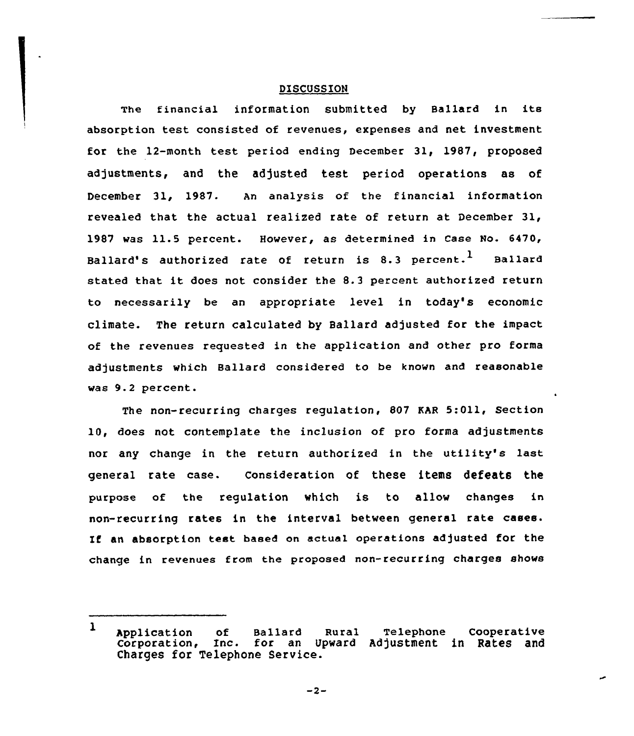# DISCUSSION

The financial information submitted by Ballard in its absorption test consisted of revenues, expenses and net investment for the 12-month test period ending December 31, 1987, proposed adjustments, and the adjusted test period operations as of December 31, 1987. An analysis of the financial information revealed that the actual realized rate of return at December 31, 1987 was 11.5 percent. However, as determined in Case No. 6470, Ballard's authorized rate of return is 8.3 percent.<sup>1</sup> Ballard stated that it does not consider the 8.3 percent authorized return to necessarily be an appropriate level in today's economic climate. The return calculated by Ballard adjusted for the impact of the revenues requested in the application and other pro forma adjustments which Ballard considered to be known and reasonable was 9.2 percent.

The non-recurring charges regulation, 807 KAR 5:011, Section 10, does not contemplate the inclusion of pro forma adjustments nor any change in the return authorized in the utility's last general rate case. consideration of these items defeats the purpose of the regulation which is to allow changes in non-recurring rates in the interval between general rate cases. If an absorption test based on actual operations adjusted for the change in revenues from the proposed non-recurring charges shows

 $-2-$ 

 $\mathbf{1}$ Application of Ballard Rural Telephone Cooperativ corporation, Inc. for an Upward Adjustment in Rates and Corporation, Inc. for an Up<br>Charges for Telephone Service.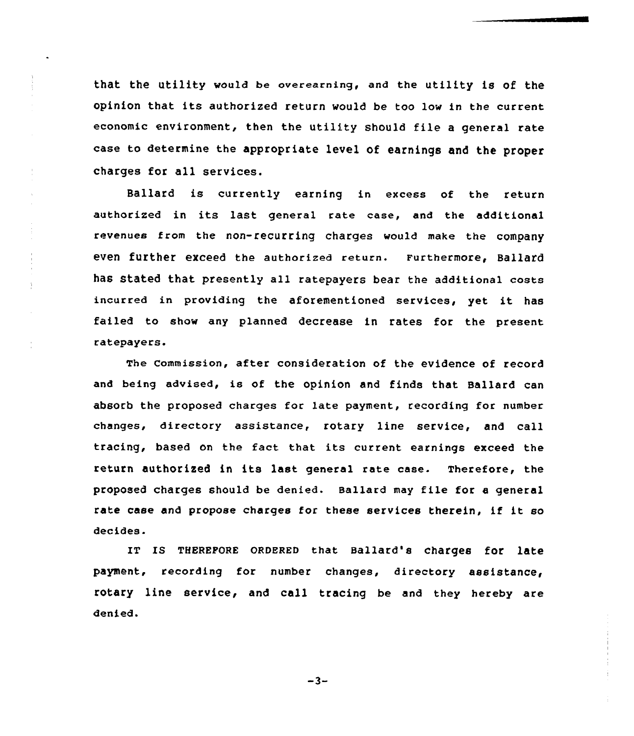that the utility would be overearning, and the utility is of the opinion that its authorized return would be too low in the current economic environment, then the utility should file <sup>a</sup> general rate case to determine the appropriate level of earnings and the proper charges for all services.

 $\frac{1}{2}$ 

 $\frac{1}{2}$ 

 $\frac{1}{4}$ 

Ballard is currently earning in excess of the return authorized in its last general rate case, and the additional revenues from the non-recurring charges would make the company even further exceed the authorized return. Furthermore, Ballard has Stated that presently all ratepayers bear the additional costs incurred in providing the aforementioned services, yet it has failed to show any planned decrease in rates for the present ratepayers.

The Commission, after consideration of the evidence of record and being advised, is of the opinion and finds that Ballard can absorb the proposed charges for 1ate payment, recording for number changes, directory assistance, rotary line service, and call tracing, based on the fact that its current earnings exceed the return authorized in its last general rate case. Therefore, the proposed charges should be denied. Ballard may file for <sup>a</sup> general rate case and propose charges for these services therein, if it so decides.

IT Is THEREFQRE 0RDERED that Ballard's charges for late payment, recording for number changes, directory assistance, rotary line service, and call tracing be and they hereby are denied.

 $-3-$